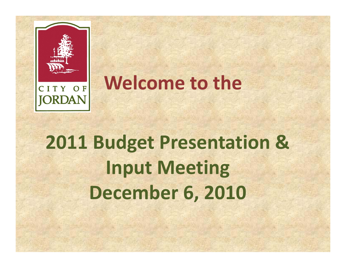



## **Welcome to the**

# **2011 Budget Presentation & Input Meeting December 6, 2010**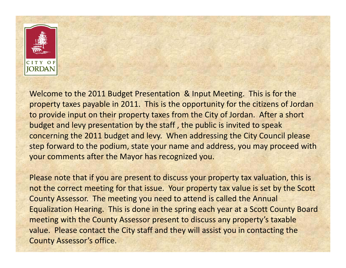

Welcome to the 2011 Budget Presentation & Input Meeting. This is for the property taxes payable in 2011. This is the opportunity for the citizens of Jordan to provide input on their property taxes from the City of Jordan. After <sup>a</sup> short budget and levy presentation by the staff , the public is invited to speak concerning the 2011 budget and levy. When addressing the City Council please step forward to the podium, state your name and address, you may proceed with your comments after the Mayor has recognized you.

Please note that if you are present to discuss your property tax valuation, this is not the correct meeting for that issue. Your property tax value is set by the Scott County Assessor. The meeting you need to attend is called the Annual Equalization Hearing. This is done in the spring each year at <sup>a</sup> Scott County Board meeting with the County Assessor present to discuss any property's taxable value. Please contact the City staff and they will assist you in contacting the County Assessor's office.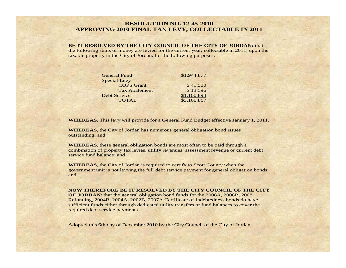#### **RESOLUTION NO. 12-45-2010 APPROVING 2010 FINAL TAX LEVY, COLLECTABLE IN 2011**

#### **BE IT RESOLVED BY THE CITY COUNCIL OF THE CITY OF JORDAN:** that

the following sums of money are levied for the current year, collectable in 2011, upon the taxable property in the City of Jordan, for the following purposes:

| <b>General Fund</b>  | \$1,944,877 |
|----------------------|-------------|
| <b>Special Levy</b>  |             |
| <b>COPS</b> Grant    | \$41,500    |
| <b>Tax Abatement</b> | \$13,596    |
| <b>Debt Service</b>  | \$1,100,894 |
| <b>TOTAL</b>         | \$3,100,867 |

**WHEREAS,** This levy will provide for a General Fund Budget effective January 1, 2011.

**WHEREAS**, the City of Jordan has numerous general obligation bond issues outstanding; and

**WHEREAS**, these general obligation bonds are most often to be paid through a combination of property tax levies, utility revenues, assessment revenue or current debt service fund balance; and

**WHEREAS**, the City of Jordan is required to certify to Scott County when the government unit is not levying the full debt service payment for general obligation bonds; and

**NOW THEREFORE BE IT RESOLVED BY THE CITY COUNCIL OF THE CITY OF JORDAN**: that the general obligation bond funds for the 2008A, 2008B, 2008 Refunding, 2004B, 2004A, 2002B, 2007A Certificate of Indebtedness bonds do have sufficient funds either through dedicated utility transfers or fund balances to cover the

required debt service payments.

Adopted this 6th day of December 2010 by the City Council of the City of Jordan.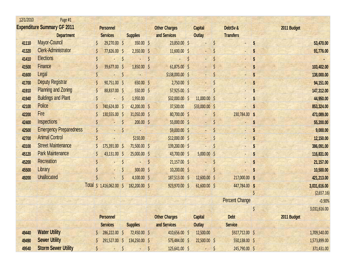| 12/1/2010 | Page #1                            |     |                       |         |                 |                      |         |                    |         |                          |    |              |
|-----------|------------------------------------|-----|-----------------------|---------|-----------------|----------------------|---------|--------------------|---------|--------------------------|----|--------------|
|           | <b>Expenditure Summary GF 2011</b> |     | <b>Personnel</b>      |         |                 | <b>Other Charges</b> |         | <b>Capital</b>     |         | DebtSv &                 |    | 2011 Budget  |
|           | <b>Department</b>                  |     | <b>Services</b>       |         | <b>Supplies</b> | and Services         |         | <b>Outlay</b>      |         | <b>Transfers</b>         |    |              |
| 41110     | Mayor-Council                      |     | 29,270.00 \$          |         | 350.00 \$       | 23,850.00 \$         |         |                    |         | ÷,                       | S  | 53,470.00    |
| 41320     | <b>Clerk-Administrator</b>         |     | 77,826.00 \$          |         | $2,350.00$ \$   | $11,600.00$ \$       |         |                    |         | $\overline{\phantom{a}}$ |    | 91,776.00    |
| 41410     | <b>Elections</b>                   |     |                       | \$      |                 |                      | $\zeta$ |                    |         | ۷                        |    |              |
| 41500     | Finance                            |     | 39,677.00 \$          |         | $1,850.00$ \$   | $61,875.00$ \$       |         |                    |         |                          |    | 103,402.00   |
| 41600     | Legal                              |     |                       | $\zeta$ |                 | $$138,000.00$ \$     |         |                    |         |                          |    | 138,000.00   |
| 41700     | <b>Deputy Registrar</b>            |     | $90,751.00$ \$        |         | 650.00 \$       | $2,750.00$ \$        |         |                    |         | ٠                        |    | 94,151.00    |
| 41910     | <b>Planning and Zoning</b>         | \$  | 88,837.00 \$          |         | 550.00 \$       | 57,925.00 \$         |         |                    |         |                          |    | 147,312.00   |
| 41940     | <b>Buildings and Plant</b>         | \$  |                       | $\zeta$ | 1,950.00        | $$32,000.00$ \$      |         | $11,000.00$ \$     |         |                          |    | 44,950.00    |
| 42100     | Police                             |     | 740,624.00 \$         |         | $42,200.00$ \$  | 37,500.00            |         | $$33,000.00$ \$    |         |                          |    | 853,324.00   |
| 42200     | Fire                               |     | 130,555.00 \$         |         | 31,050.00 \$    | 80,700.00 \$         |         |                    |         | 230,784.00 \$            |    | 473,089.00   |
| 42400     | Inspections                        |     |                       | $\zeta$ | $200.00$ \$     | 55,000.00 \$         |         |                    |         |                          |    | 55,200.00    |
| 42500     | <b>Emergency Preparedness</b>      | \$  |                       | \$      |                 | $$9,000.00$ \$       |         |                    |         |                          |    | 9,000.00     |
| 42700     | <b>Animal Control</b>              |     |                       |         | \$150.00        | $$12,000.00$ \$      |         |                    |         |                          |    | 12,150.00    |
| 43100     | <b>Street Maintenance</b>          |     | 175,391.00 \$         |         | 71,500.00 \$    | 139,200.00 \$        |         |                    |         |                          |    | 386,091.00   |
| 45120     | <b>Park Maintenance</b>            | \$  | 43,131.00 \$          |         | $25,000.00$ \$  | 43,700.00 \$         |         | $5,000.00$ \$      |         |                          |    | 116,831.00   |
| 45200     | <b>Recreation</b>                  |     |                       | \$      |                 | \$<br>$21,157.00$ \$ |         |                    |         |                          |    | 21,157.00    |
| 45500     | Library                            |     |                       | \$      | 300.00 \$       | $10,200.00$ \$       |         |                    |         |                          |    | 10,500.00    |
| 49200     | <b>Unallocated</b>                 |     |                       |         | $4,100.00$ \$   | 187,513.00 \$        |         | 12,600.00 \$       |         | 217,000.00 \$            |    | 421,213.00   |
|           |                                    |     | Total \$ 1,416,062.00 | $\zeta$ | 182,200.00 \$   | 923,970.00 \$        |         | $61,600.00$ \$     |         | 447,784.00 \$            |    | 3,031,616.00 |
|           |                                    |     |                       |         |                 |                      |         |                    |         |                          |    | (2,657.16)   |
|           |                                    |     |                       |         |                 |                      |         |                    |         | <b>Percent Change</b>    |    | $-0.90%$     |
|           |                                    |     |                       |         |                 |                      |         |                    |         |                          | \$ | 3,031,616.00 |
|           |                                    |     | <b>Personnel</b>      |         |                 | <b>Other Charges</b> |         | <b>Capital</b>     |         | <b>Debt</b>              |    | 2011 Budget  |
|           |                                    |     | <b>Services</b>       |         | <b>Supplies</b> | and Services         |         | Outlay             |         | <b>Service</b>           |    |              |
| 49440     | <b>Water Utility</b>               |     | 286,222.00 \$         |         | 72,450.00 \$    | 410,656.00 \$        |         | 12,500.00          |         | $$927,712.00$ \$         |    | 1,709,540.00 |
| 49490     | <b>Sewer Utility</b>               |     | 291,527.00 \$         |         | 134,250.00 \$   | 575,484.00 \$        |         | $22,500.00$ \$     |         | 550,138.00 \$            |    | 1,573,899.00 |
| 49540     | <b>Storm Sewer Utility</b>         | \$. | $-$ \$                |         | $ \sqrt{5}$     | 125,641.00 \$        |         | <b>Participate</b> | $\zeta$ | 245,790.00 \$            |    | 371,431.00   |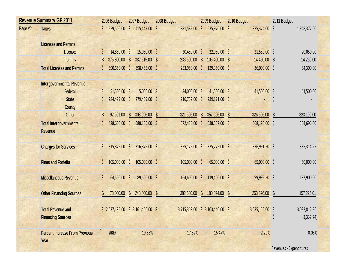|         | <b>Revenue Summary GF 2011</b>        |         | 2006 Budget                          |                         | 2007 Budget   | 2008 Budget |                 |                         | 2009 Budget                     |                         | 2010 Budget     | 2011 Budget  |              |
|---------|---------------------------------------|---------|--------------------------------------|-------------------------|---------------|-------------|-----------------|-------------------------|---------------------------------|-------------------------|-----------------|--------------|--------------|
| Page #2 | <b>Taxes</b>                          |         | $$1,259,506.00 \t$ 1,415,447.00 \t$$ |                         |               |             |                 |                         | 1,881,582.00 \$ 1,635,970.00 \$ |                         | 1,875,374.00 \$ |              | 1,948,377.00 |
|         | <b>Licenses and Permits</b>           |         |                                      |                         |               |             |                 |                         |                                 |                         |                 |              |              |
|         | Licenses                              | \$      | 14,850.00 \$                         |                         | 15,950.00 \$  |             | 20,450.00 \$    |                         | 22,950.00 \$                    |                         | 21,550.00 \$    |              | 20,050.00    |
|         | <b>Permits</b>                        |         | 375,800.00                           | $\mathsf{\$}$           | 382,515.00    | \$          | 233,500.00      | $\mathcal{S}$           | 106,400.00                      | $\sqrt[6]{\frac{1}{2}}$ | 14,450.00       | \$           | 14,250.00    |
|         | <b>Total Licenses and Permits</b>     | $\zeta$ | 390,650.00 \$                        |                         | 398,465.00 \$ |             | 253,950.00 \$   |                         | 129,350.00 \$                   |                         | 36,000.00 \$    |              | 34,300.00    |
|         |                                       |         |                                      |                         |               |             |                 |                         |                                 |                         |                 |              |              |
|         | <b>Intergovernmental Revenue</b>      |         |                                      |                         |               |             |                 |                         |                                 |                         |                 |              |              |
|         | Federal                               | $\zeta$ | 51,500.00 \$                         |                         | $5,000.00$ \$ |             | 34,000.00 \$    |                         | 41,500.00 \$                    |                         | 41,500.00 \$    |              | 41,500.00    |
|         | <b>State</b>                          | Ś       | 284,499.00 \$                        |                         | 279,469.00 \$ |             | $216,762.00$ \$ |                         | 239,171.00 \$                   |                         |                 | \$           |              |
|         | County                                |         |                                      |                         |               |             |                 |                         |                                 |                         |                 |              |              |
|         | Other                                 | S       | 92,661.00                            | $\mathsf{\$}$           | 303,696.00    | $\sqrt{3}$  | 321,696.00      | $\mathbb{S}$            | 357,696.00                      | $\mathcal{S}$           | 326,696.00      | $\mathbb{S}$ | 323,196.00   |
|         | <b>Total Intergovernmental</b>        |         | 428,660.00 \$                        |                         | 588,165.00 \$ |             | 572,458.00 \$   |                         | 638,367.00 \$                   |                         | 368,196.00 \$   |              | 364,696.00   |
|         | <b>Revenue</b>                        |         |                                      |                         |               |             |                 |                         |                                 |                         |                 |              |              |
|         | <b>Charges for Services</b>           | $\zeta$ | 315,879.00 \$                        |                         | 316,879.00 \$ |             | 355,179.00 \$   |                         | 335,279.00 \$                   |                         | 336,991.50 \$   |              | 335,314.25   |
|         | <b>Fines and Forfeits</b>             | \$      | $105,000.00$ \$                      |                         | 105,000.00 \$ |             | $105,000.00$ \$ |                         | 65,000.00 \$                    |                         | 65,000.00 \$    |              | 60,000.00    |
|         | <b>Miscellaneous Revenue</b>          | $\zeta$ | 64,500.00 \$                         |                         | 89,500.00 \$  |             | 164,600.00 \$   |                         | 119,400.00 \$                   |                         | 99,992.50 \$    |              | 132,900.00   |
|         | <b>Other Financing Sources</b>        |         | 73,000.00                            | $\sqrt[6]{\frac{1}{2}}$ | 248,000.00 \$ |             | 382,600.00      | $\sqrt[6]{\frac{1}{2}}$ | 180,074.00 \$                   |                         | 253,596.00 \$   |              | 157,225.01   |
|         | <b>Total Revenue and</b>              |         | $$2,637,195.00 \$3,161,456.00 \$$    |                         |               |             |                 |                         | 3,715,369.00 \$ 3,103,440.00 \$ |                         | 3,035,150.00 \$ |              | 3,032,812.26 |
|         | <b>Financing Sources</b>              |         |                                      |                         |               |             |                 |                         |                                 |                         |                 | \$           | (2,337.74)   |
|         | <b>Percent Increase From Previous</b> |         | #REF!                                |                         | 19.88%        |             | 17.52%          |                         | $-16.47%$                       |                         | $-2.20%$        |              | $-0.08%$     |
|         | Year                                  |         |                                      |                         |               |             |                 |                         |                                 |                         |                 |              |              |
|         |                                       |         |                                      |                         |               |             |                 |                         |                                 |                         |                 |              |              |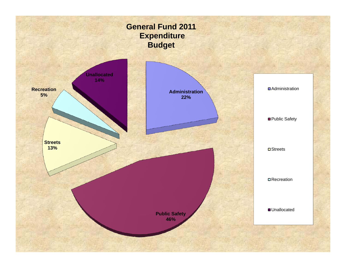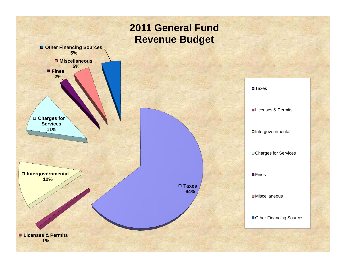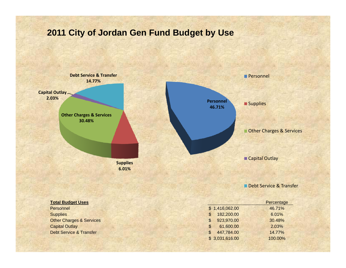## **2011 City of Jordan Gen Fund Budget by Use**

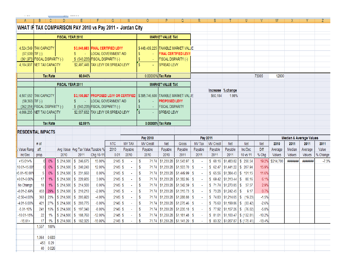| ----- | _________ |
|-------|-----------|
|       |           |
|       |           |

|                                | B.                         |                      | D.               |                                                                                  |           | G                           |                   | 0                                                                                                                       | P                       | Q                                    | R          | S.        |                                  | U                                       |            | W         |         |                                    |          |
|--------------------------------|----------------------------|----------------------|------------------|----------------------------------------------------------------------------------|-----------|-----------------------------|-------------------|-------------------------------------------------------------------------------------------------------------------------|-------------------------|--------------------------------------|------------|-----------|----------------------------------|-----------------------------------------|------------|-----------|---------|------------------------------------|----------|
|                                |                            |                      |                  | WHAT IF TAX COMPARISON PAY 2010 vs Pay 2011 - Jordan City                        |           |                             |                   |                                                                                                                         |                         |                                      |            |           |                                  |                                         |            |           |         |                                    |          |
|                                |                            |                      | FISCAL YEAR 2010 |                                                                                  |           |                             |                   |                                                                                                                         | <b>MARKET VALUE TAX</b> |                                      |            |           |                                  |                                         |            |           |         |                                    |          |
|                                |                            |                      |                  |                                                                                  |           |                             |                   |                                                                                                                         |                         |                                      |            |           |                                  |                                         |            |           |         |                                    |          |
| 4,524,549 TAX CAPACITY         |                            |                      |                  | \$3,040,683 FINAL CERTIFIED LEVY                                                 |           |                             |                   | \$448,409,225 TAXABLE MARKET VALUE                                                                                      |                         |                                      |            |           |                                  |                                         |            |           |         |                                    |          |
| $(57,639)$ TIF (-)             |                            |                      |                  | s.                                                                               |           | LOCAL GOVERNMENT AID        |                   | $\sim$                                                                                                                  |                         | <b>FINAL CERTIFIED LEVY</b>          |            |           |                                  |                                         |            |           |         |                                    |          |
| (361,973) FISCAL DISPARITY (-) |                            |                      |                  | \$ (543,235) FISCAL DISPARITY (-)                                                |           |                             |                   |                                                                                                                         | FISCAL DISPARITY (-)    |                                      |            |           |                                  |                                         |            |           |         |                                    |          |
| 4,104,937 NET TAX CAPACITY     |                            |                      |                  | \$2,497,448 TAX LEVY OR SPREAD LEVY                                              |           |                             |                   | a.                                                                                                                      | SPREAD LEVY             |                                      |            |           |                                  |                                         |            |           |         |                                    |          |
|                                |                            |                      |                  |                                                                                  |           |                             |                   |                                                                                                                         |                         |                                      |            |           |                                  |                                         |            |           |         |                                    |          |
|                                |                            | <b>Tax Rate</b>      |                  | 60.840%                                                                          |           |                             |                   | 0.00000% Tax Rate                                                                                                       |                         |                                      |            |           |                                  |                                         | 73005      | 12800     |         |                                    |          |
|                                |                            |                      | FISCAL YEAR 2011 |                                                                                  |           |                             |                   |                                                                                                                         | <b>MARKET VALUE TAX</b> |                                      |            |           |                                  |                                         |            |           |         |                                    |          |
|                                |                            |                      |                  |                                                                                  |           |                             |                   |                                                                                                                         |                         |                                      |            |           | Increase % change                |                                         |            |           |         |                                    |          |
| 4,507,652 TAX CAPACITY         |                            |                      |                  |                                                                                  |           |                             |                   | \$3,100,867   PROPOSED LEVY OR CERTIFIED   \$395,746,600   TAXABLE MARKET VALUE                                         |                         |                                      |            | \$60,184  | 1.98%                            |                                         |            |           |         |                                    |          |
| $(59,363)$ TIF (-)             |                            |                      |                  |                                                                                  |           | <b>LOCAL GOVERNMENT AID</b> |                   |                                                                                                                         | <b>PROPOSED LEVY</b>    |                                      |            |           |                                  |                                         |            |           |         |                                    |          |
| (362,054) FISCAL DISPARITY (-) |                            |                      |                  | \$ (543,235) FISCAL DISPARITY (-)                                                |           |                             |                   |                                                                                                                         | <b>FISCAL DISPARITY</b> |                                      |            |           |                                  |                                         |            |           |         |                                    |          |
| 4.086.235 NET TAX CAPACITY     |                            |                      |                  | \$2,557,632 TAX LEVY OR SPREAD LEVY                                              |           |                             |                   |                                                                                                                         | SPREAD LEVY             |                                      |            |           |                                  |                                         |            |           |         |                                    |          |
|                                |                            |                      |                  |                                                                                  |           |                             |                   |                                                                                                                         |                         |                                      |            |           |                                  |                                         |            |           |         |                                    |          |
|                                | <b>Tax Rate</b><br>62.591% |                      |                  |                                                                                  |           |                             | 0.00000% Tax Rate |                                                                                                                         |                         |                                      |            |           |                                  |                                         |            |           |         |                                    |          |
|                                | RESIDENTIAL IMPACTS        |                      |                  |                                                                                  |           |                             |                   |                                                                                                                         |                         |                                      |            |           |                                  |                                         |            |           |         |                                    |          |
|                                |                            |                      |                  |                                                                                  |           |                             |                   |                                                                                                                         |                         |                                      |            |           |                                  |                                         |            |           |         |                                    |          |
|                                |                            |                      |                  |                                                                                  |           |                             |                   | Pay 2010                                                                                                                |                         |                                      | Pay 2011   |           |                                  |                                         |            |           |         | <b>Median &amp; Average Values</b> |          |
|                                | # of                       |                      |                  |                                                                                  |           | <b>NTC</b>                  | <b>MV TAX</b>     | <b>MV Credit</b>                                                                                                        | Net                     | Gross                                | MV Tax     | MV Credit | Net                              | Net                                     | <b>Net</b> | 2010      | 2011    | 2011                               | 2011     |
| Value Rang                     | aff.                       |                      |                  | Avg Value Avg Tax Value Taxable %                                                |           | 2010                        | Payable           | Payable                                                                                                                 | Payable                 | Payable                              | Payable    | Payable   | Payable                          | Inc/Dec                                 | Diff       | Average   | Median  | Average                            | Value    |
| Inc/Dec                        | prop.                      |                      | 2010             | 2011                                                                             | Chg 10-11 | 0.01                        | 2010              | 2010                                                                                                                    | 2010                    | 2011                                 | 2011       | 2011      | 2011                             | 10 vs 11                                | % Chg      | Values    | Values  | Values                             | % Change |
| $+15.01+%$                     |                            | 0%                   |                  | $$214,500$ $$246,675$                                                            | 15.00%    | 2145S                       |                   | 71.74<br>S.                                                                                                             |                         | \$1,233.28 \$1,543.97 \$             |            | \$60.16   | \$1,483.82 \$250.54              |                                         | 19.2%      | \$214,700 | ####### | ######                             | $-7.3%$  |
| 10.01-15.009                   |                            | 0%                   |                  | $$214,500$ $$240,240$                                                            | 12.00%    | $2145$ \$                   |                   | s.                                                                                                                      |                         | 71.74   \$1,233.28   \$1,503.70   \$ |            | \$62.47   | \$1,441.22 \$ 207.94             |                                         | 15.9%      |           |         |                                    |          |
| 5.01-10.00%                    | 5.                         | 0%                   |                  | \$214,500 \$231,660                                                              | 8.00%     | $2145$ \$                   |                   | S                                                                                                                       |                         | 71.74   \$1,233.28   \$1,449.99   \$ |            |           | $$65.56$ $$1,384.43$ $$151.15$   |                                         | 11.6%      |           |         |                                    |          |
| +0.01-5.00%                    | 17                         | 1%                   |                  | \$214,500 \$220,935                                                              | 3.00%     | 2145S                       |                   | s                                                                                                                       |                         | 71.74   \$1,233.28   \$1,382.86   \$ |            |           | $$69.42 \; $1,313.44 \; $$       | 80.16                                   | 6.1%       |           |         |                                    |          |
| No Change                      | 18                         |                      |                  | $$214,500$ $$214,500$                                                            | 0.00%     | $2145$ \$                   |                   | s                                                                                                                       |                         | 71.74   \$1,233.28   \$1,342.59   \$ |            |           | $$71.74$ $$1,270.85$ $$$         | 37.57                                   | 2.9%       |           |         |                                    |          |
| $-0.01 - 2.49%$                | 453                        | 29%                  |                  | $$214,500$ $$210,210$                                                            | $-2.00%$  | 2145S                       |                   | \$                                                                                                                      |                         | 71.74   \$1,233.28   \$1,315.73   \$ |            |           | $$73.28$ $$1,242.45$ \$          | 9.17                                    | 0.7%       |           |         |                                    |          |
| -2.50-4.00%                    | 363                        | 23%                  |                  | \$214,500 \$205,920                                                              | $-4.00%$  | $2145$ \$                   |                   | \$                                                                                                                      |                         | 71.74   \$1,233.28   \$1,288.88   \$ |            |           |                                  | $$74.83$ $$1,214.05$ $$$ (19.23)        | $-1.5%$    |           |         |                                    |          |
| -4.01-5.00%                    | 421                        | 27%                  |                  | $$214,500$ $$203,775$                                                            | $-5.00%$  | 2145S                       |                   | s.                                                                                                                      |                         | 71.74   \$1,233.28   \$1,275.46   \$ |            |           | $$75.60$ $$1,199.86$ $$$ (33.42) |                                         | $-2.6%$    |           |         |                                    |          |
| $-5.01 - 10%$                  | 241                        | 15%                  |                  | \$214,500 \$197,340                                                              | $-8.00%$  | $2145$ \$                   |                   | s.                                                                                                                      |                         | 71.74   \$1,233.28   \$1,235.18   \$ |            |           |                                  |                                         | $-5.8%$    |           |         |                                    |          |
|                                |                            |                      |                  |                                                                                  |           |                             |                   |                                                                                                                         |                         |                                      |            |           |                                  | \$77.92 \$1,157.26 \$ (76.02)           | $-10.2%$   |           |         |                                    |          |
| $-10.01 - 15%$<br>$-15.01+$    |                            |                      |                  | 22 1% \$ 214,500 \$ 188,760 -12.00%<br>17 1%   \$ 214,500   \$ 182,325   -15.00% |           | 2145 \$                     | <b>Contract</b>   | $2145 \begin{bmatrix} 5 & -15 \end{bmatrix}$ 5 71.74 \$1,233.28 \$1,181.48 \$ - \$ 81.01 \$1,100.47 \$ (132.81)<br>- \$ |                         | 71.74   \$1,233.28   \$1,141.20   \$ | $\sim 100$ |           |                                  | $$83.32 \mid $1,057.87 \mid $(175.41)]$ | $-13.4%$   |           |         |                                    |          |
|                                | 1,557 100%                 |                      |                  |                                                                                  |           |                             |                   |                                                                                                                         |                         |                                      |            |           |                                  |                                         |            |           |         |                                    |          |
|                                |                            |                      |                  |                                                                                  |           |                             |                   |                                                                                                                         |                         |                                      |            |           |                                  |                                         |            |           |         |                                    |          |
|                                | 1,064 0.683                |                      |                  |                                                                                  |           |                             |                   |                                                                                                                         |                         |                                      |            |           |                                  |                                         |            |           |         |                                    |          |
|                                |                            | 453 0.29<br>40 0.026 |                  |                                                                                  |           |                             |                   |                                                                                                                         |                         |                                      |            |           |                                  |                                         |            |           |         |                                    |          |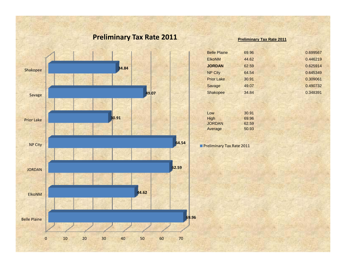## **Preliminary Tax Rate 2011**



#### **Preliminary Tax Rate 2011**

| <b>Belle Plaine</b> | 69.96 | 0.699567 |
|---------------------|-------|----------|
| <b>ElkoNM</b>       | 44.62 | 0.446219 |
| <b>JORDAN</b>       | 62.59 | 0.625914 |
| <b>NP City</b>      | 64.54 | 0.645349 |
| <b>Prior Lake</b>   | 30.91 | 0.309061 |
| Savage              | 49.07 | 0.490732 |
| Shakopee            | 34.84 | 0.348391 |
|                     |       |          |

| Low     | 30.91 |
|---------|-------|
| High    | 69.96 |
| JORDAN  | 62.59 |
| Average | 50.93 |

**Preliminary Tax Rate 2011**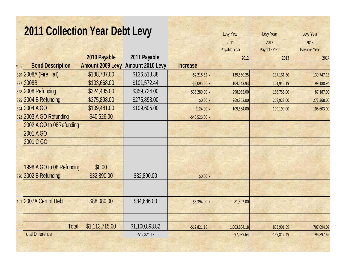|             | <b>2011 Collection Year Debt Levy</b> |                         |                  |                   | Levy Year    | Levy Year     | Levy Year    |
|-------------|---------------------------------------|-------------------------|------------------|-------------------|--------------|---------------|--------------|
|             |                                       |                         |                  |                   | 2011         | 2012          | 2013         |
|             |                                       |                         |                  |                   | Payable Year | Payable Year  | Payable Year |
|             |                                       | 2010 Payable            | 2011 Payable     |                   | 2012         | 2013          | 2014         |
| <b>Func</b> | <b>Bond Description</b>               | <b>Amount 2009 Levy</b> | Amount 2010 Levy | <b>Increase</b>   |              |               |              |
|             | 329 2008A (Fire Hall)                 | \$138,737.00            | \$136,518.38     | $-$ \$2,218.62 x  | 139,550.25   | 137,161.50    | 139,747.13   |
|             | 327 2008B                             | \$103,668.00            | \$101,572.44     | $-$ \$2,095.56 x  | 104,543.93   | 101,945.19    | 99,188.94    |
|             | 328 2008 Refunding                    | \$324,435.00            | \$359,724.00     | \$35,289.00 x     | 298,982.00   | 186,758.00    | 87,187.00    |
|             | 325 2004 B Refunding                  | \$275,898.00            | \$275,898.00     | $$0.00$ x         | 269,862.00   | 268,928.00    | 272,368.00   |
|             | 324 2004 A GO                         | \$109,481.00            | \$109,605.00     | $$124.00 \times$  | 109,564.00   | 109,199.00    | 108,603.00   |
|             | 322 2003 A GO Refunding               | \$40,526.00             |                  | $-$ \$40,526.00 x |              |               |              |
|             | 2002 A GO to 08Refunding              |                         |                  |                   |              |               |              |
|             | 2001 A GO                             |                         |                  |                   |              |               |              |
|             | 2001 C GO                             |                         |                  |                   |              |               |              |
|             |                                       |                         |                  |                   |              |               |              |
|             |                                       |                         |                  |                   |              |               |              |
|             | 1998 A GO to 08 Refunding             | \$0.00                  |                  |                   |              |               |              |
|             | 320 2002 B Refunding                  | \$32,890.00             | \$32,890.00      | $$0.00$ x         |              |               |              |
|             |                                       |                         |                  |                   |              |               |              |
|             |                                       |                         |                  |                   |              |               |              |
|             | 101 2007A Cert of Debt                | \$88,080.00             | \$84,686.00      | $-53,394.00 \, x$ | 81,302.00    |               |              |
|             |                                       |                         |                  |                   |              |               |              |
|             |                                       |                         |                  |                   |              |               |              |
|             | <b>Total</b>                          | \$1,113,715.00          | \$1,100,893.82   | $-512,821.18$     | 1,003,804.18 | 803,991.69    | 707,094.07   |
|             | <b>Total Difference</b>               |                         | $-$12,821.18$    |                   | $-97,089.64$ | $-199,812.49$ | $-96,897.62$ |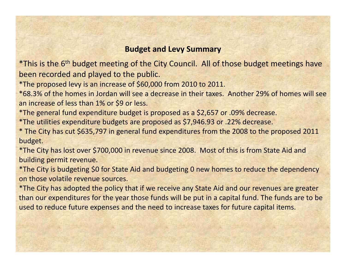### **Budget and Levy Summary**

\*This is the 6<sup>th</sup> budget meeting of the City Council. All of those budget meetings have been recorded and played to the public.

\*The proposed levy is an increase of \$60,000 from 2010 to 2011.

\*68.3% of the homes in Jordan will see <sup>a</sup> decrease in their taxes. Another 29% of homes will see an increase of less than 1% or \$9 or less.

\*The general fund expenditure budget is proposed as <sup>a</sup> \$2,657 or .09% decrease.

\*The utilities expenditure budgets are proposed as \$7,946.93 or .22% decrease.

\* The City has cut \$635,797 in general fund expenditures from the 2008 to the proposed 2011 budget.

\*The City has lost over \$700,000 in revenue since 2008. Most of this is from State Aid and building permit revenue.

\*The City is budgeting \$0 for State Aid and budgeting 0 new homes to reduce the dependency on those volatile revenue sources.

\*The City has adopted the policy that if we receive any State Aid and our revenues are greater than our expenditures for the year those funds will be put in <sup>a</sup> capital fund. The funds are to be used to reduce future expenses and the need to increase taxes for future capital items.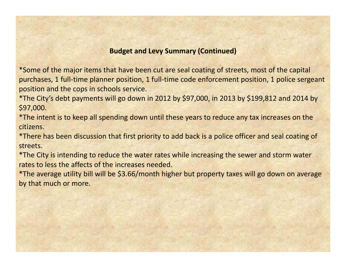#### **Budget and Levy Summary (Continued)**

\*Some of the major items that have been cut are seal coating of streets, most of the capital purchases, 1 full-time planner position, 1 full-time code enforcement position, 1 police sergeant position and the cops in schools service.

\*The City's debt payments will go down in 2012 by \$97,000, in 2013 by \$199,812 and 2014 by \$97,000.

\*The intent is to keep all spending down until these years to reduce any tax increases on the citizens.

\*There has been discussion that first priority to add back is <sup>a</sup> police officer and seal coating of streets.

\*The City is intending to reduce the water rates while increasing the sewer and storm water rates to less the affects of the increases needed.

\*The average utility bill will be \$3.66/month higher but property taxes will go down on average by that much or more.